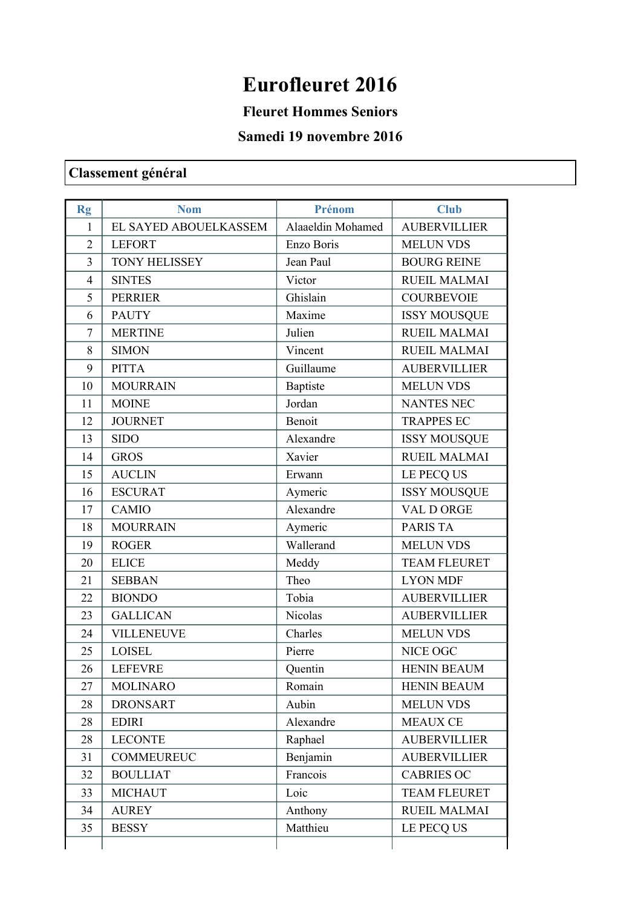## **Eurofleuret 2016**

**Fleuret Hommes Seniors** 

## **Samedi 19 novembre 2016**

## **Classement général**

| <b>Rg</b>      | <b>Nom</b>            | Prénom            | <b>Club</b>         |
|----------------|-----------------------|-------------------|---------------------|
| 1              | EL SAYED ABOUELKASSEM | Alaaeldin Mohamed | <b>AUBERVILLIER</b> |
| $\overline{2}$ | <b>LEFORT</b>         | Enzo Boris        | <b>MELUN VDS</b>    |
| 3              | <b>TONY HELISSEY</b>  | Jean Paul         | <b>BOURG REINE</b>  |
| $\overline{4}$ | <b>SINTES</b>         | Victor            | <b>RUEIL MALMAI</b> |
| 5              | <b>PERRIER</b>        | Ghislain          | <b>COURBEVOIE</b>   |
| 6              | <b>PAUTY</b>          | Maxime            | <b>ISSY MOUSQUE</b> |
| 7              | <b>MERTINE</b>        | Julien            | <b>RUEIL MALMAI</b> |
| 8              | <b>SIMON</b>          | Vincent           | <b>RUEIL MALMAI</b> |
| 9              | <b>PITTA</b>          | Guillaume         | <b>AUBERVILLIER</b> |
| 10             | <b>MOURRAIN</b>       | Baptiste          | <b>MELUN VDS</b>    |
| 11             | <b>MOINE</b>          | Jordan            | <b>NANTES NEC</b>   |
| 12             | <b>JOURNET</b>        | Benoit            | <b>TRAPPES EC</b>   |
| 13             | <b>SIDO</b>           | Alexandre         | <b>ISSY MOUSQUE</b> |
| 14             | <b>GROS</b>           | Xavier            | <b>RUEIL MALMAI</b> |
| 15             | <b>AUCLIN</b>         | Erwann            | LE PECQ US          |
| 16             | <b>ESCURAT</b>        | Aymeric           | <b>ISSY MOUSQUE</b> |
| 17             | CAMIO                 | Alexandre         | VAL D ORGE          |
| 18             | <b>MOURRAIN</b>       | Aymeric           | <b>PARIS TA</b>     |
| 19             | <b>ROGER</b>          | Wallerand         | <b>MELUN VDS</b>    |
| 20             | <b>ELICE</b>          | Meddy             | <b>TEAM FLEURET</b> |
| 21             | <b>SEBBAN</b>         | Theo              | <b>LYON MDF</b>     |
| 22             | <b>BIONDO</b>         | Tobia             | <b>AUBERVILLIER</b> |
| 23             | <b>GALLICAN</b>       | Nicolas           | <b>AUBERVILLIER</b> |
| 24             | <b>VILLENEUVE</b>     | Charles           | <b>MELUN VDS</b>    |
| 25             | <b>LOISEL</b>         | Pierre            | NICE OGC            |
| 26             | <b>LEFEVRE</b>        | Quentin           | <b>HENIN BEAUM</b>  |
| 27             | <b>MOLINARO</b>       | Romain            | <b>HENIN BEAUM</b>  |
| 28             | <b>DRONSART</b>       | Aubin             | <b>MELUN VDS</b>    |
| 28             | <b>EDIRI</b>          | Alexandre         | <b>MEAUX CE</b>     |
| 28             | <b>LECONTE</b>        | Raphael           | <b>AUBERVILLIER</b> |
| 31             | <b>COMMEUREUC</b>     | Benjamin          | <b>AUBERVILLIER</b> |
| 32             | <b>BOULLIAT</b>       | Francois          | <b>CABRIES OC</b>   |
| 33             | <b>MICHAUT</b>        | Loic              | <b>TEAM FLEURET</b> |
| 34             | <b>AUREY</b>          | Anthony           | <b>RUEIL MALMAI</b> |
| 35             | <b>BESSY</b>          | Matthieu          | LE PECQ US          |
|                |                       |                   |                     |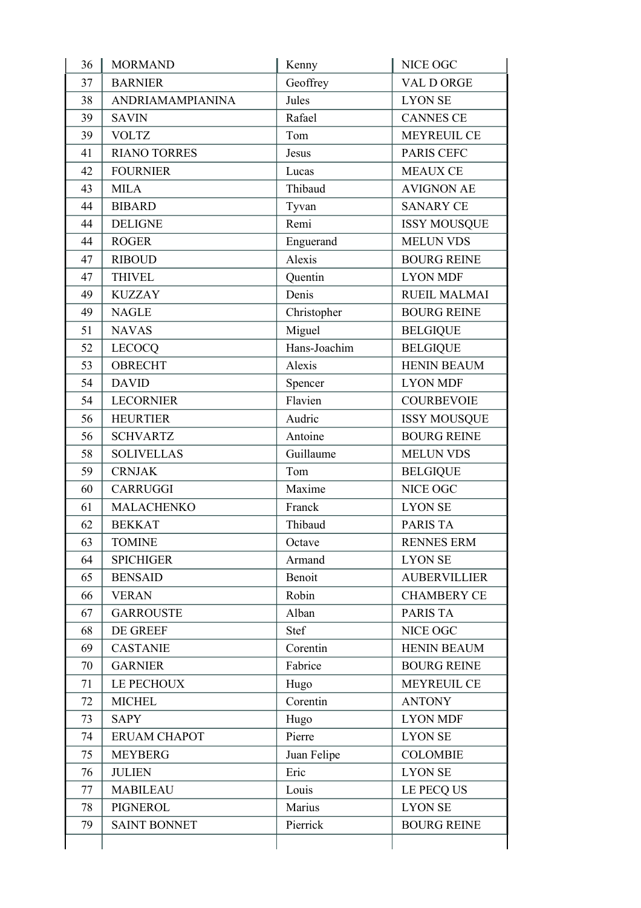| 36 | <b>MORMAND</b>      | Kenny        | NICE OGC            |
|----|---------------------|--------------|---------------------|
| 37 | <b>BARNIER</b>      | Geoffrey     | VAL D ORGE          |
| 38 | ANDRIAMAMPIANINA    | Jules        | <b>LYON SE</b>      |
| 39 | <b>SAVIN</b>        | Rafael       | <b>CANNES CE</b>    |
| 39 | <b>VOLTZ</b>        | Tom          | <b>MEYREUIL CE</b>  |
| 41 | <b>RIANO TORRES</b> | Jesus        | PARIS CEFC          |
| 42 | <b>FOURNIER</b>     | Lucas        | <b>MEAUX CE</b>     |
| 43 | <b>MILA</b>         | Thibaud      | <b>AVIGNON AE</b>   |
| 44 | <b>BIBARD</b>       | Tyvan        | <b>SANARY CE</b>    |
| 44 | <b>DELIGNE</b>      | Remi         | <b>ISSY MOUSQUE</b> |
| 44 | <b>ROGER</b>        | Enguerand    | <b>MELUN VDS</b>    |
| 47 | <b>RIBOUD</b>       | Alexis       | <b>BOURG REINE</b>  |
| 47 | <b>THIVEL</b>       | Quentin      | <b>LYON MDF</b>     |
| 49 | <b>KUZZAY</b>       | Denis        | <b>RUEIL MALMAI</b> |
| 49 | <b>NAGLE</b>        | Christopher  | <b>BOURG REINE</b>  |
| 51 | <b>NAVAS</b>        | Miguel       | <b>BELGIQUE</b>     |
| 52 | <b>LECOCQ</b>       | Hans-Joachim | <b>BELGIQUE</b>     |
| 53 | <b>OBRECHT</b>      | Alexis       | <b>HENIN BEAUM</b>  |
| 54 | <b>DAVID</b>        | Spencer      | <b>LYON MDF</b>     |
| 54 | <b>LECORNIER</b>    | Flavien      | <b>COURBEVOIE</b>   |
| 56 | <b>HEURTIER</b>     | Audric       | <b>ISSY MOUSQUE</b> |
| 56 | <b>SCHVARTZ</b>     | Antoine      | <b>BOURG REINE</b>  |
| 58 | <b>SOLIVELLAS</b>   | Guillaume    | <b>MELUN VDS</b>    |
| 59 | <b>CRNJAK</b>       | Tom          | <b>BELGIQUE</b>     |
| 60 | <b>CARRUGGI</b>     | Maxime       | NICE OGC            |
| 61 | MALACHENKO          | Franck       | <b>LYON SE</b>      |
| 62 | <b>BEKKAT</b>       | Thibaud      | <b>PARIS TA</b>     |
| 63 | <b>TOMINE</b>       | Octave       | <b>RENNES ERM</b>   |
| 64 | <b>SPICHIGER</b>    | Armand       | <b>LYON SE</b>      |
| 65 | <b>BENSAID</b>      | Benoit       | <b>AUBERVILLIER</b> |
| 66 | <b>VERAN</b>        | Robin        | <b>CHAMBERY CE</b>  |
| 67 | <b>GARROUSTE</b>    | Alban        | <b>PARIS TA</b>     |
| 68 | DE GREEF            | Stef         | NICE OGC            |
| 69 | <b>CASTANIE</b>     | Corentin     | <b>HENIN BEAUM</b>  |
| 70 | <b>GARNIER</b>      | Fabrice      | <b>BOURG REINE</b>  |
| 71 | LE PECHOUX          | Hugo         | <b>MEYREUIL CE</b>  |
| 72 | <b>MICHEL</b>       | Corentin     | <b>ANTONY</b>       |
| 73 | <b>SAPY</b>         | Hugo         | <b>LYON MDF</b>     |
| 74 | <b>ERUAM CHAPOT</b> | Pierre       | <b>LYON SE</b>      |
| 75 | <b>MEYBERG</b>      | Juan Felipe  | <b>COLOMBIE</b>     |
| 76 | <b>JULIEN</b>       | Eric         | <b>LYON SE</b>      |
| 77 | <b>MABILEAU</b>     | Louis        | LE PECQ US          |
| 78 | PIGNEROL            | Marius       | <b>LYON SE</b>      |
| 79 | <b>SAINT BONNET</b> | Pierrick     | <b>BOURG REINE</b>  |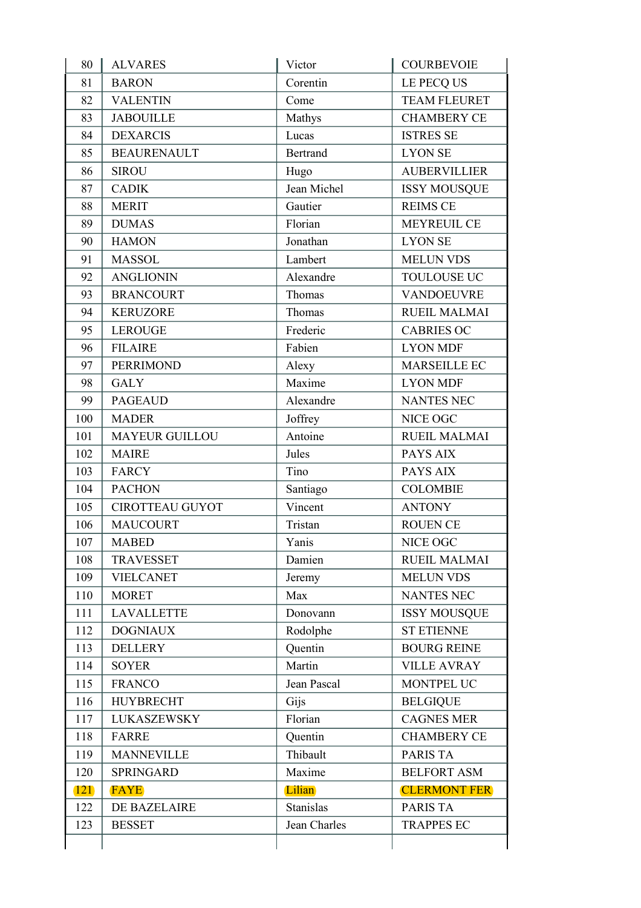| 80         | <b>ALVARES</b>         | Victor          | <b>COURBEVOIE</b>   |
|------------|------------------------|-----------------|---------------------|
| 81         | <b>BARON</b>           | Corentin        | LE PECQ US          |
| 82         | <b>VALENTIN</b>        | Come            | <b>TEAM FLEURET</b> |
| 83         | <b>JABOUILLE</b>       | Mathys          | <b>CHAMBERY CE</b>  |
| 84         | <b>DEXARCIS</b>        | Lucas           | <b>ISTRES SE</b>    |
| 85         | <b>BEAURENAULT</b>     | <b>Bertrand</b> | <b>LYON SE</b>      |
| 86         | <b>SIROU</b>           | Hugo            | <b>AUBERVILLIER</b> |
| 87         | <b>CADIK</b>           | Jean Michel     | <b>ISSY MOUSQUE</b> |
| 88         | <b>MERIT</b>           | Gautier         | <b>REIMS CE</b>     |
| 89         | <b>DUMAS</b>           | Florian         | <b>MEYREUIL CE</b>  |
| 90         | <b>HAMON</b>           | Jonathan        | <b>LYON SE</b>      |
| 91         | <b>MASSOL</b>          | Lambert         | <b>MELUN VDS</b>    |
| 92         | <b>ANGLIONIN</b>       | Alexandre       | TOULOUSE UC         |
| 93         | <b>BRANCOURT</b>       | Thomas          | <b>VANDOEUVRE</b>   |
| 94         | <b>KERUZORE</b>        | Thomas          | <b>RUEIL MALMAI</b> |
| 95         | <b>LEROUGE</b>         | Frederic        | <b>CABRIES OC</b>   |
| 96         | <b>FILAIRE</b>         | Fabien          | <b>LYON MDF</b>     |
| 97         | <b>PERRIMOND</b>       | Alexy           | MARSEILLE EC        |
| 98         | <b>GALY</b>            | Maxime          | <b>LYON MDF</b>     |
| 99         | <b>PAGEAUD</b>         | Alexandre       | <b>NANTES NEC</b>   |
| 100        | <b>MADER</b>           | Joffrey         | NICE OGC            |
| 101        | <b>MAYEUR GUILLOU</b>  | Antoine         | <b>RUEIL MALMAI</b> |
| 102        | <b>MAIRE</b>           | Jules           | PAYS AIX            |
| 103        | <b>FARCY</b>           | Tino            | PAYS AIX            |
| 104        | <b>PACHON</b>          | Santiago        | <b>COLOMBIE</b>     |
| 105        | <b>CIROTTEAU GUYOT</b> | Vincent         | <b>ANTONY</b>       |
| 106        | <b>MAUCOURT</b>        | Tristan         | <b>ROUEN CE</b>     |
| 107        | <b>MABED</b>           | Yanis           | NICE OGC            |
| 108        | <b>TRAVESSET</b>       | Damien          | <b>RUEIL MALMAI</b> |
| 109        | <b>VIELCANET</b>       | Jeremy          | <b>MELUN VDS</b>    |
| 110        | <b>MORET</b>           | Max             | <b>NANTES NEC</b>   |
| 111        | <b>LAVALLETTE</b>      | Donovann        | <b>ISSY MOUSQUE</b> |
| 112        | <b>DOGNIAUX</b>        | Rodolphe        | <b>ST ETIENNE</b>   |
| 113        | <b>DELLERY</b>         | Quentin         | <b>BOURG REINE</b>  |
| 114        | <b>SOYER</b>           | Martin          | <b>VILLE AVRAY</b>  |
| 115        | <b>FRANCO</b>          | Jean Pascal     | MONTPEL UC          |
| 116        | <b>HUYBRECHT</b>       | Gijs            | <b>BELGIQUE</b>     |
| 117        | LUKASZEWSKY            | Florian         | <b>CAGNES MER</b>   |
| 118        | <b>FARRE</b>           | Quentin         | <b>CHAMBERY CE</b>  |
| 119        | <b>MANNEVILLE</b>      | Thibault        | <b>PARIS TA</b>     |
| 120        | <b>SPRINGARD</b>       | Maxime          | <b>BELFORT ASM</b>  |
| <b>121</b> | <b>FAYE</b>            | Lilian          | <b>CLERMONT FER</b> |
| 122        | DE BAZELAIRE           | Stanislas       | PARIS TA            |
| 123        | <b>BESSET</b>          | Jean Charles    | <b>TRAPPES EC</b>   |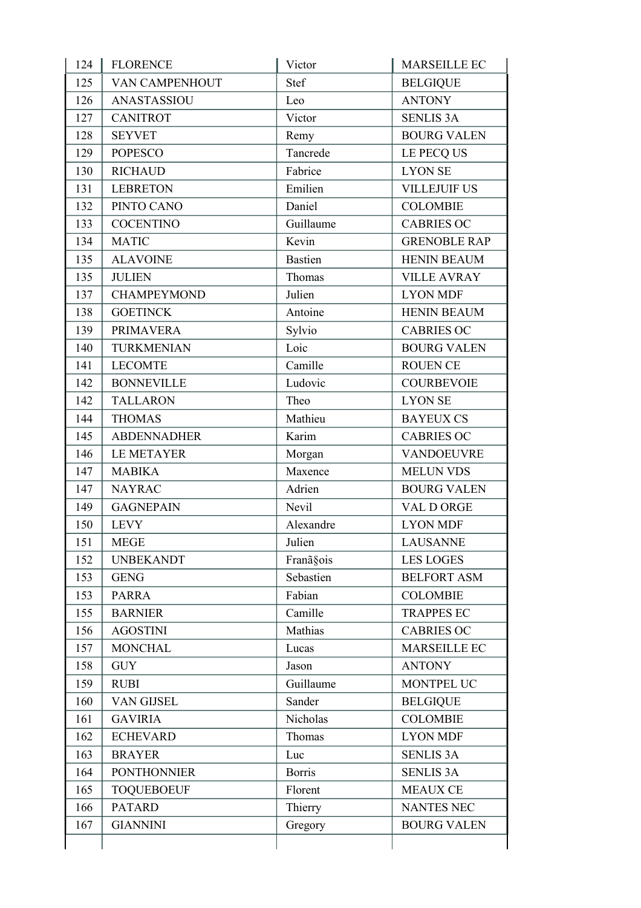| 124 | <b>FLORENCE</b>    | Victor         | MARSEILLE EC        |
|-----|--------------------|----------------|---------------------|
| 125 | VAN CAMPENHOUT     | Stef           | <b>BELGIQUE</b>     |
| 126 | ANASTASSIOU        | Leo            | <b>ANTONY</b>       |
| 127 | <b>CANITROT</b>    | Victor         | <b>SENLIS 3A</b>    |
| 128 | <b>SEYVET</b>      | Remy           | <b>BOURG VALEN</b>  |
| 129 | <b>POPESCO</b>     | Tancrede       | LE PECQ US          |
| 130 | <b>RICHAUD</b>     | Fabrice        | <b>LYON SE</b>      |
| 131 | <b>LEBRETON</b>    | Emilien        | <b>VILLEJUIF US</b> |
| 132 | PINTO CANO         | Daniel         | <b>COLOMBIE</b>     |
| 133 | <b>COCENTINO</b>   | Guillaume      | <b>CABRIES OC</b>   |
| 134 | <b>MATIC</b>       | Kevin          | <b>GRENOBLE RAP</b> |
| 135 | <b>ALAVOINE</b>    | <b>Bastien</b> | <b>HENIN BEAUM</b>  |
| 135 | <b>JULIEN</b>      | Thomas         | <b>VILLE AVRAY</b>  |
| 137 | <b>CHAMPEYMOND</b> | Julien         | <b>LYON MDF</b>     |
| 138 | <b>GOETINCK</b>    | Antoine        | <b>HENIN BEAUM</b>  |
| 139 | <b>PRIMAVERA</b>   | Sylvio         | <b>CABRIES OC</b>   |
| 140 | <b>TURKMENIAN</b>  | Loic           | <b>BOURG VALEN</b>  |
| 141 | <b>LECOMTE</b>     | Camille        | <b>ROUEN CE</b>     |
| 142 | <b>BONNEVILLE</b>  | Ludovic        | <b>COURBEVOIE</b>   |
| 142 | <b>TALLARON</b>    | Theo           | <b>LYON SE</b>      |
| 144 | <b>THOMAS</b>      | Mathieu        | <b>BAYEUX CS</b>    |
| 145 | <b>ABDENNADHER</b> | Karim          | <b>CABRIES OC</b>   |
| 146 | <b>LE METAYER</b>  | Morgan         | <b>VANDOEUVRE</b>   |
| 147 | <b>MABIKA</b>      | Maxence        | <b>MELUN VDS</b>    |
| 147 | <b>NAYRAC</b>      | Adrien         | <b>BOURG VALEN</b>  |
| 149 | <b>GAGNEPAIN</b>   | Nevil          | VAL D ORGE          |
| 150 | <b>LEVY</b>        | Alexandre      | <b>LYON MDF</b>     |
| 151 | <b>MEGE</b>        | Julien         | LAUSANNE            |
| 152 | <b>UNBEKANDT</b>   | Franã§ois      | <b>LES LOGES</b>    |
| 153 | <b>GENG</b>        | Sebastien      | <b>BELFORT ASM</b>  |
| 153 | <b>PARRA</b>       | Fabian         | <b>COLOMBIE</b>     |
| 155 | <b>BARNIER</b>     | Camille        | <b>TRAPPES EC</b>   |
| 156 | <b>AGOSTINI</b>    | Mathias        | <b>CABRIES OC</b>   |
| 157 | <b>MONCHAL</b>     | Lucas          | <b>MARSEILLE EC</b> |
| 158 | <b>GUY</b>         | Jason          | <b>ANTONY</b>       |
| 159 | <b>RUBI</b>        | Guillaume      | MONTPEL UC          |
| 160 | VAN GIJSEL         | Sander         | <b>BELGIQUE</b>     |
| 161 | <b>GAVIRIA</b>     | Nicholas       | <b>COLOMBIE</b>     |
| 162 | <b>ECHEVARD</b>    | Thomas         | <b>LYON MDF</b>     |
| 163 | <b>BRAYER</b>      | Luc            | <b>SENLIS 3A</b>    |
| 164 | <b>PONTHONNIER</b> | <b>Borris</b>  | <b>SENLIS 3A</b>    |
| 165 | <b>TOQUEBOEUF</b>  | Florent        | <b>MEAUX CE</b>     |
| 166 | <b>PATARD</b>      | Thierry        | <b>NANTES NEC</b>   |
| 167 | <b>GIANNINI</b>    | Gregory        | <b>BOURG VALEN</b>  |